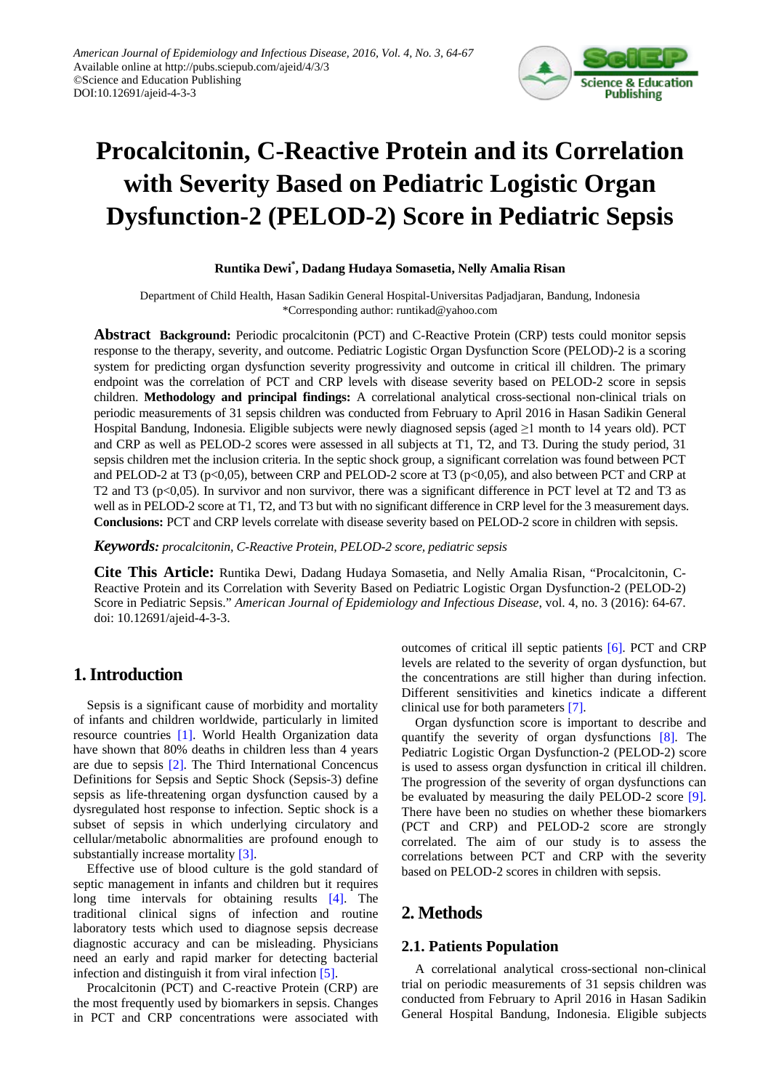

# **Procalcitonin, C-Reactive Protein and its Correlation with Severity Based on Pediatric Logistic Organ Dysfunction-2 (PELOD-2) Score in Pediatric Sepsis**

## **Runtika Dewi\* , Dadang Hudaya Somasetia, Nelly Amalia Risan**

Department of Child Health, Hasan Sadikin General Hospital-Universitas Padjadjaran, Bandung, Indonesia \*Corresponding author: runtikad@yahoo.com

**Abstract Background:** Periodic procalcitonin (PCT) and C-Reactive Protein (CRP) tests could monitor sepsis response to the therapy, severity, and outcome. Pediatric Logistic Organ Dysfunction Score (PELOD)-2 is a scoring system for predicting organ dysfunction severity progressivity and outcome in critical ill children. The primary endpoint was the correlation of PCT and CRP levels with disease severity based on PELOD-2 score in sepsis children. **Methodology and principal findings:** A correlational analytical cross-sectional non-clinical trials on periodic measurements of 31 sepsis children was conducted from February to April 2016 in Hasan Sadikin General Hospital Bandung, Indonesia. Eligible subjects were newly diagnosed sepsis (aged ≥1 month to 14 years old). PCT and CRP as well as PELOD-2 scores were assessed in all subjects at T1, T2, and T3. During the study period, 31 sepsis children met the inclusion criteria. In the septic shock group, a significant correlation was found between PCT and PELOD-2 at T3 (p<0,05), between CRP and PELOD-2 score at T3 (p<0,05), and also between PCT and CRP at T2 and T3 ( $p<0,05$ ). In survivor and non survivor, there was a significant difference in PCT level at T2 and T3 as well as in PELOD-2 score at T1, T2, and T3 but with no significant difference in CRP level for the 3 measurement days. **Conclusions:** PCT and CRP levels correlate with disease severity based on PELOD-2 score in children with sepsis.

*Keywords: procalcitonin, C-Reactive Protein, PELOD-2 score, pediatric sepsis*

**Cite This Article:** Runtika Dewi, Dadang Hudaya Somasetia, and Nelly Amalia Risan, "Procalcitonin, C-Reactive Protein and its Correlation with Severity Based on Pediatric Logistic Organ Dysfunction-2 (PELOD-2) Score in Pediatric Sepsis." *American Journal of Epidemiology and Infectious Disease*, vol. 4, no. 3 (2016): 64-67. doi: 10.12691/ajeid-4-3-3.

# **1. Introduction**

Sepsis is a significant cause of morbidity and mortality of infants and children worldwide, particularly in limited resource countries [\[1\].](#page-3-0) World Health Organization data have shown that 80% deaths in children less than 4 years are due to sepsis [\[2\].](#page-3-1) The Third International Concencus Definitions for Sepsis and Septic Shock (Sepsis-3) define sepsis as life-threatening organ dysfunction caused by a dysregulated host response to infection. Septic shock is a subset of sepsis in which underlying circulatory and cellular/metabolic abnormalities are profound enough to substantially increase mortality [\[3\].](#page-3-2)

Effective use of blood culture is the gold standard of septic management in infants and children but it requires long time intervals for obtaining results [\[4\].](#page-3-3) The traditional clinical signs of infection and routine laboratory tests which used to diagnose sepsis decrease diagnostic accuracy and can be misleading. Physicians need an early and rapid marker for detecting bacterial infection and distinguish it from viral infection [\[5\].](#page-3-4)

Procalcitonin (PCT) and C-reactive Protein (CRP) are the most frequently used by biomarkers in sepsis. Changes in PCT and CRP concentrations were associated with outcomes of critical ill septic patients [\[6\].](#page-3-5) PCT and CRP levels are related to the severity of organ dysfunction, but the concentrations are still higher than during infection. Different sensitivities and kinetics indicate a different clinical use for both parameters [\[7\].](#page-3-6)

Organ dysfunction score is important to describe and quantify the severity of organ dysfunctions [\[8\].](#page-3-7) The Pediatric Logistic Organ Dysfunction-2 (PELOD-2) score is used to assess organ dysfunction in critical ill children. The progression of the severity of organ dysfunctions can be evaluated by measuring the daily PELOD-2 score [\[9\].](#page-3-8) There have been no studies on whether these biomarkers (PCT and CRP) and PELOD-2 score are strongly correlated. The aim of our study is to assess the correlations between PCT and CRP with the severity based on PELOD-2 scores in children with sepsis.

# **2. Methods**

## **2.1. Patients Population**

A correlational analytical cross-sectional non-clinical trial on periodic measurements of 31 sepsis children was conducted from February to April 2016 in Hasan Sadikin General Hospital Bandung, Indonesia. Eligible subjects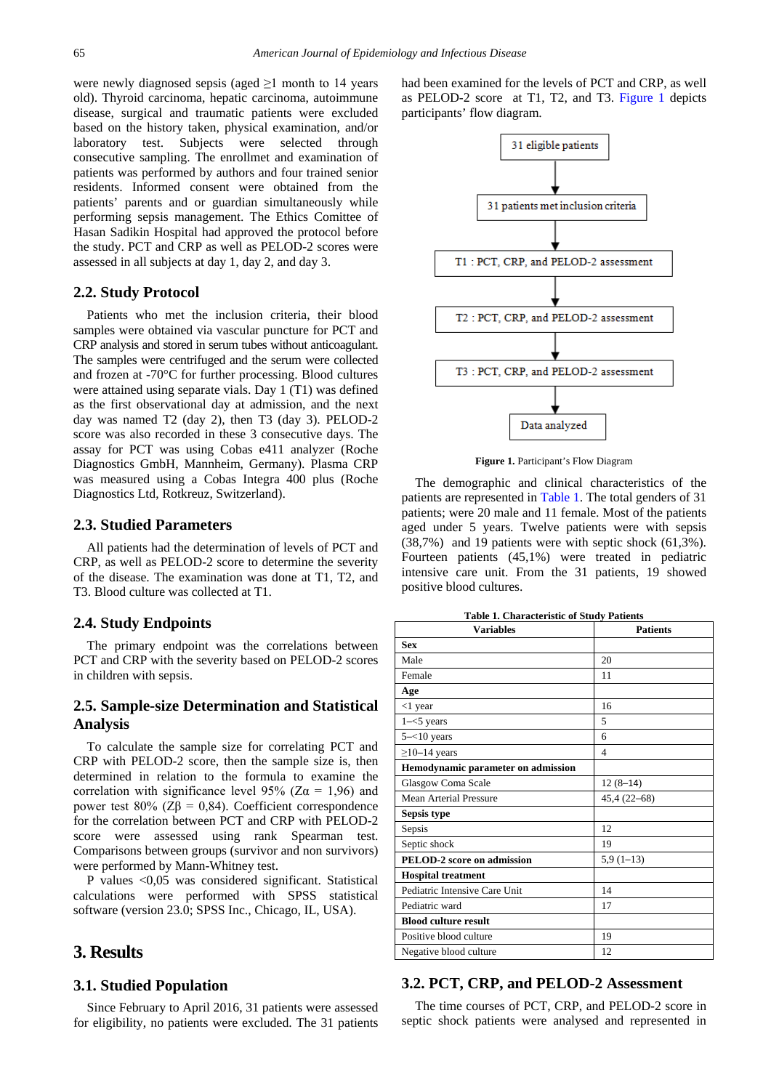were newly diagnosed sepsis (aged  $\geq 1$  month to 14 years old). Thyroid carcinoma, hepatic carcinoma, autoimmune disease, surgical and traumatic patients were excluded based on the history taken, physical examination, and/or laboratory test. Subjects were selected through consecutive sampling. The enrollmet and examination of patients was performed by authors and four trained senior residents. Informed consent were obtained from the patients' parents and or guardian simultaneously while performing sepsis management. The Ethics Comittee of Hasan Sadikin Hospital had approved the protocol before the study. PCT and CRP as well as PELOD-2 scores were assessed in all subjects at day 1, day 2, and day 3.

#### **2.2. Study Protocol**

Patients who met the inclusion criteria, their blood samples were obtained via vascular puncture for PCT and CRP analysis and stored in serum tubes without anticoagulant. The samples were centrifuged and the serum were collected and frozen at -70°C for further processing. Blood cultures were attained using separate vials. Day 1 (T1) was defined as the first observational day at admission, and the next day was named T2 (day 2), then T3 (day 3). PELOD-2 score was also recorded in these 3 consecutive days. The assay for PCT was using Cobas e411 analyzer (Roche Diagnostics GmbH, Mannheim, Germany). Plasma CRP was measured using a Cobas Integra 400 plus (Roche Diagnostics Ltd, Rotkreuz, Switzerland).

#### **2.3. Studied Parameters**

All patients had the determination of levels of PCT and CRP, as well as PELOD-2 score to determine the severity of the disease. The examination was done at T1, T2, and T3. Blood culture was collected at T1.

#### **2.4. Study Endpoints**

The primary endpoint was the correlations between PCT and CRP with the severity based on PELOD-2 scores in children with sepsis.

## **2.5. Sample-size Determination and Statistical Analysis**

To calculate the sample size for correlating PCT and CRP with PELOD-2 score, then the sample size is, then determined in relation to the formula to examine the correlation with significance level 95% ( $Z\alpha = 1.96$ ) and power test  $80\%$  (Z $\beta$  = 0,84). Coefficient correspondence for the correlation between PCT and CRP with PELOD-2 score were assessed using rank Spearman test. Comparisons between groups (survivor and non survivors) were performed by Mann-Whitney test.

P values <0,05 was considered significant. Statistical calculations were performed with SPSS statistical software (version 23.0; SPSS Inc., Chicago, IL, USA).

## **3. Results**

### **3.1. Studied Population**

Since February to April 2016, 31 patients were assessed for eligibility, no patients were excluded. The 31 patients had been examined for the levels of PCT and CRP, as well as PELOD-2 score at T1, T2, and T3. [Figure 1](#page-1-0) depicts participants' flow diagram.

<span id="page-1-0"></span>

**Figure 1.** Participant's Flow Diagram

The demographic and clinical characteristics of the patients are represented in [Table 1.](#page-1-1) The total genders of 31 patients; were 20 male and 11 female. Most of the patients aged under 5 years. Twelve patients were with sepsis (38,7%) and 19 patients were with septic shock (61,3%). Fourteen patients (45,1%) were treated in pediatric intensive care unit. From the 31 patients, 19 showed positive blood cultures.

| Table 1. Characteristic of Study Patients |  |
|-------------------------------------------|--|
|-------------------------------------------|--|

<span id="page-1-1"></span>

| <b>Variables</b>                   | <b>Patients</b> |
|------------------------------------|-----------------|
| <b>Sex</b>                         |                 |
| Male                               | 20              |
| Female                             | 11              |
| Age                                |                 |
| $<$ 1 year                         | 16              |
| $1 - 5$ years                      | 5               |
| $5 - 10$ years                     | 6               |
| $\geq$ 10-14 years                 | 4               |
| Hemodynamic parameter on admission |                 |
| Glasgow Coma Scale                 | $12(8-14)$      |
| <b>Mean Arterial Pressure</b>      | 45,4 (22-68)    |
| Sepsis type                        |                 |
| Sepsis                             | 12              |
| Septic shock                       | 19              |
| <b>PELOD-2</b> score on admission  | $5,9(1-13)$     |
| <b>Hospital treatment</b>          |                 |
| Pediatric Intensive Care Unit      | 14              |
| Pediatric ward                     | 17              |
| <b>Blood culture result</b>        |                 |
| Positive blood culture             | 19              |
| Negative blood culture             | 12              |

#### **3.2. PCT, CRP, and PELOD-2 Assessment**

The time courses of PCT, CRP, and PELOD-2 score in septic shock patients were analysed and represented in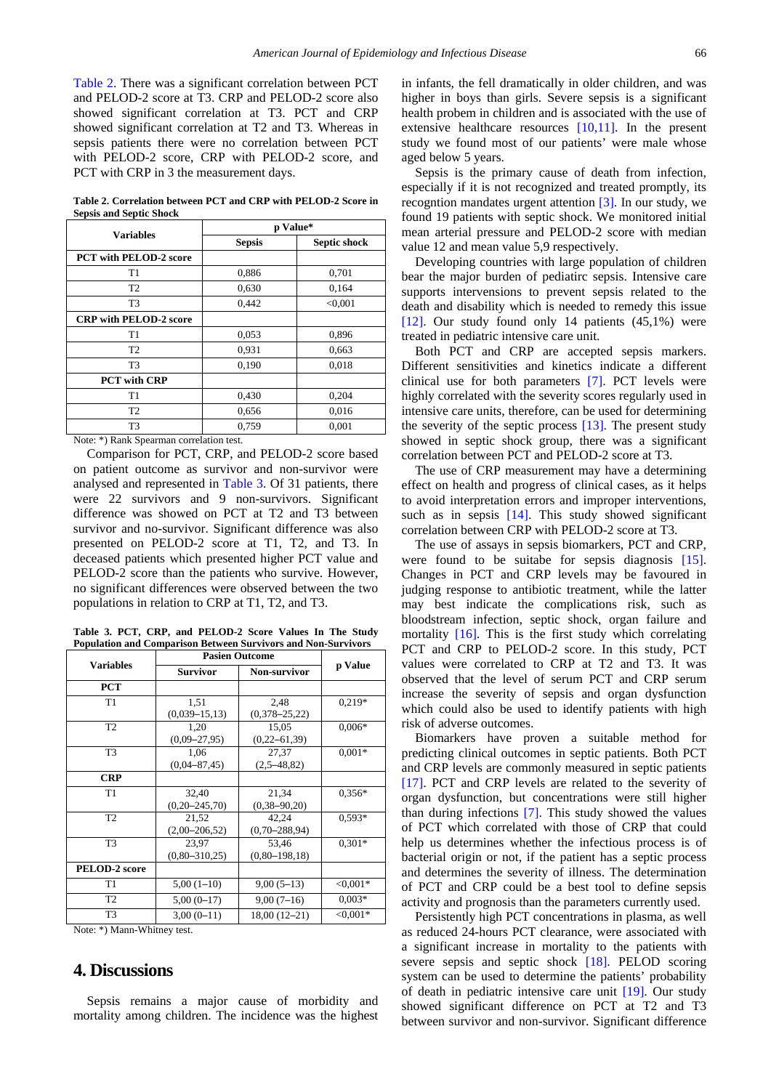[Table 2.](#page-2-0) There was a significant correlation between PCT and PELOD-2 score at T3. CRP and PELOD-2 score also showed significant correlation at T3. PCT and CRP showed significant correlation at T2 and T3. Whereas in sepsis patients there were no correlation between PCT with PELOD-2 score, CRP with PELOD-2 score, and PCT with CRP in 3 the measurement days.

**Table 2. Correlation between PCT and CRP with PELOD-2 Score in Sepsis and Septic Shock**

<span id="page-2-0"></span>

| <b>Variables</b>                          | p Value*      |              |  |
|-------------------------------------------|---------------|--------------|--|
|                                           | <b>Sepsis</b> | Septic shock |  |
| <b>PCT with PELOD-2 score</b>             |               |              |  |
| T <sub>1</sub>                            | 0,886         | 0,701        |  |
| T <sub>2</sub>                            | 0.630         | 0,164        |  |
| T <sub>3</sub>                            | 0.442         | < 0.001      |  |
| <b>CRP</b> with PELOD-2 score             |               |              |  |
| T1                                        | 0.053         | 0,896        |  |
| T <sub>2</sub>                            | 0,931         | 0,663        |  |
| T <sub>3</sub>                            | 0,190         | 0,018        |  |
| <b>PCT</b> with CRP                       |               |              |  |
| T <sub>1</sub>                            | 0,430         | 0,204        |  |
| T <sub>2</sub>                            | 0,656         | 0,016        |  |
| T <sub>3</sub>                            | 0,759         | 0,001        |  |
| 1.1<br>$\mathbf{u}$<br>$\sim$<br>$\cdots$ |               |              |  |

Note: \*) Rank Spearman correlation test.

Comparison for PCT, CRP, and PELOD-2 score based on patient outcome as survivor and non-survivor were analysed and represented in [Table 3.](#page-2-1) Of 31 patients, there were 22 survivors and 9 non-survivors. Significant difference was showed on PCT at T2 and T3 between survivor and no-survivor. Significant difference was also presented on PELOD-2 score at T1, T2, and T3. In deceased patients which presented higher PCT value and PELOD-2 score than the patients who survive. However, no significant differences were observed between the two populations in relation to CRP at T1, T2, and T3.

**Table 3. PCT, CRP, and PELOD-2 Score Values In The Study Population and Comparison Between Survivors and Non-Survivors**

<span id="page-2-1"></span>

|                                           | <b>Pasien Outcome</b> |                     |            |
|-------------------------------------------|-----------------------|---------------------|------------|
| <b>Variables</b>                          | <b>Survivor</b>       | <b>Non-survivor</b> | p Value    |
| <b>PCT</b>                                |                       |                     |            |
| T <sub>1</sub>                            | 1,51                  | 2,48                | $0,219*$   |
|                                           | $(0,039-15,13)$       | $(0,378 - 25,22)$   |            |
| T <sub>2</sub>                            | 1,20                  | 15,05               | $0,006*$   |
|                                           | $(0,09-27,95)$        | $(0, 22 - 61, 39)$  |            |
| T <sub>3</sub>                            | 1,06                  | 27,37               | $0,001*$   |
|                                           | $(0,04 - 87,45)$      | $(2,5-48,82)$       |            |
| <b>CRP</b>                                |                       |                     |            |
| T1                                        | 32,40                 | 21,34               | $0.356*$   |
|                                           | $(0, 20 - 245, 70)$   | $(0, 38 - 90, 20)$  |            |
| T <sub>2</sub>                            | 21,52                 | 42,24               | $0.593*$   |
|                                           | $(2,00-206,52)$       | $(0,70-288,94)$     |            |
| T <sub>3</sub>                            | 23,97                 | 53,46               | $0,301*$   |
|                                           | $(0,80-310,25)$       | $(0,80-198,18)$     |            |
| <b>PELOD-2</b> score                      |                       |                     |            |
| T1                                        | $5,00(1-10)$          | $9,00(5-13)$        | $<,0.001*$ |
| T <sub>2</sub>                            | $5,00(0-17)$          | $9,00(7-16)$        | $0.003*$   |
| T <sub>3</sub>                            | $3,00(0-11)$          | 18,00 (12-21)       | $<,0.001*$ |
| $M = 1 - 2$ $\forall$ $M = 1 - 3$ $M = 1$ |                       |                     |            |

Note: \*) Mann-Whitney test.

# **4. Discussions**

Sepsis remains a major cause of morbidity and mortality among children. The incidence was the highest

in infants, the fell dramatically in older children, and was higher in boys than girls. Severe sepsis is a significant health probem in children and is associated with the use of extensive healthcare resources [\[10,11\].](#page-3-9) In the present study we found most of our patients' were male whose aged below 5 years.

Sepsis is the primary cause of death from infection, especially if it is not recognized and treated promptly, its recogntion mandates urgent attention [\[3\].](#page-3-2) In our study, we found 19 patients with septic shock. We monitored initial mean arterial pressure and PELOD-2 score with median value 12 and mean value 5,9 respectively.

Developing countries with large population of children bear the major burden of pediatirc sepsis. Intensive care supports intervensions to prevent sepsis related to the death and disability which is needed to remedy this issue [\[12\].](#page-3-10) Our study found only 14 patients  $(45,1\%)$  were treated in pediatric intensive care unit.

Both PCT and CRP are accepted sepsis markers. Different sensitivities and kinetics indicate a different clinical use for both parameters [\[7\].](#page-3-6) PCT levels were highly correlated with the severity scores regularly used in intensive care units, therefore, can be used for determining the severity of the septic process [\[13\].](#page-3-11) The present study showed in septic shock group, there was a significant correlation between PCT and PELOD-2 score at T3.

The use of CRP measurement may have a determining effect on health and progress of clinical cases, as it helps to avoid interpretation errors and improper interventions, such as in sepsis  $[14]$ . This study showed significant correlation between CRP with PELOD-2 score at T3.

The use of assays in sepsis biomarkers, PCT and CRP, were found to be suitabe for sepsis diagnosis [\[15\].](#page-3-13) Changes in PCT and CRP levels may be favoured in judging response to antibiotic treatment, while the latter may best indicate the complications risk, such as bloodstream infection, septic shock, organ failure and mortality [\[16\].](#page-3-14) This is the first study which correlating PCT and CRP to PELOD-2 score. In this study, PCT values were correlated to CRP at T2 and T3. It was observed that the level of serum PCT and CRP serum increase the severity of sepsis and organ dysfunction which could also be used to identify patients with high risk of adverse outcomes.

Biomarkers have proven a suitable method for predicting clinical outcomes in septic patients. Both PCT and CRP levels are commonly measured in septic patients [\[17\].](#page-3-15) PCT and CRP levels are related to the severity of organ dysfunction, but concentrations were still higher than during infections [\[7\].](#page-3-6) This study showed the values of PCT which correlated with those of CRP that could help us determines whether the infectious process is of bacterial origin or not, if the patient has a septic process and determines the severity of illness. The determination of PCT and CRP could be a best tool to define sepsis activity and prognosis than the parameters currently used.

Persistently high PCT concentrations in plasma, as well as reduced 24-hours PCT clearance, were associated with a significant increase in mortality to the patients with severe sepsis and septic shock [\[18\].](#page-3-16) PELOD scoring system can be used to determine the patients' probability of death in pediatric intensive care unit [\[19\].](#page-3-17) Our study showed significant difference on PCT at T2 and T3 between survivor and non-survivor. Significant difference